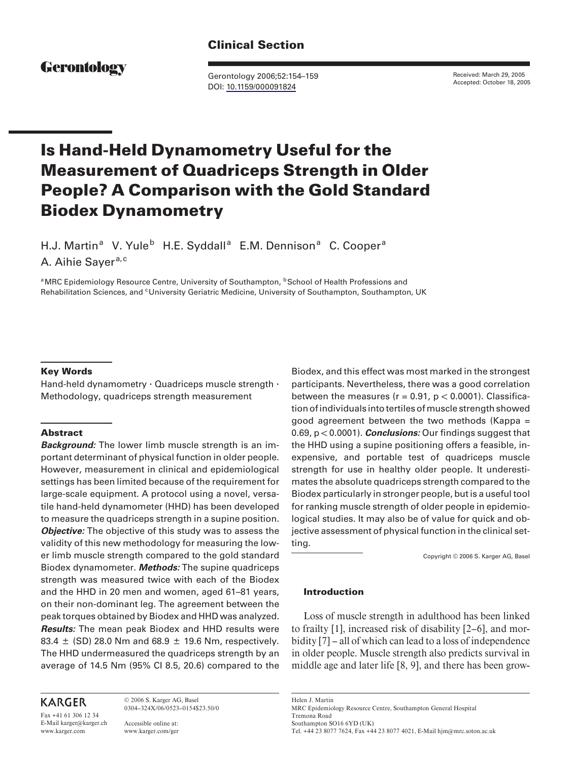Gerontology

Gerontology 2006;52:154–159 DOI: [10.1159/000091824](http://dx.doi.org/10.1159%2F000091824)

Received: March 29, 2005 Accepted: October 18, 2005

# **Is Hand-Held Dynamometry Useful for the Measurement of Quadriceps Strength in Older People? A Comparison with the Gold Standard Biodex Dynamometry**

H.J. Martin<sup>a</sup> V. Yule<sup>b</sup> H.E. Syddall<sup>a</sup> E.M. Dennison<sup>a</sup> C. Cooper<sup>a</sup> A. Aihie Sayer<sup>a, c</sup>

 $^{\rm a}$ MRC Epidemiology Resource Centre, University of Southampton,  $^{\rm b}$ School of Health Professions and Rehabilitation Sciences, and <sup>c</sup> University Geriatric Medicine, University of Southampton, Southampton, UK

# **Key Words**

Hand-held dynamometry  $\cdot$  Quadriceps muscle strength  $\cdot$ Methodology, quadriceps strength measurement

# **Abstract**

*Background:* The lower limb muscle strength is an important determinant of physical function in older people. However, measurement in clinical and epidemiological settings has been limited because of the requirement for large-scale equipment. A protocol using a novel, versatile hand-held dynamometer (HHD) has been developed to measure the quadriceps strength in a supine position. *Objective:* The objective of this study was to assess the validity of this new methodology for measuring the lower limb muscle strength compared to the gold standard Biodex dynamometer. *Methods:* The supine quadriceps strength was measured twice with each of the Biodex and the HHD in 20 men and women, aged 61–81 years, on their non-dominant leg. The agreement between the peak torques obtained by Biodex and HHD was analyzed. *Results:* The mean peak Biodex and HHD results were 83.4  $\pm$  (SD) 28.0 Nm and 68.9  $\pm$  19.6 Nm, respectively. The HHD undermeasured the quadriceps strength by an average of 14.5 Nm (95% CI 8.5, 20.6) compared to the

# **KARGER**

Fax +41 61 306 12 34 E-Mail karger@karger.ch www.karger.com

© 2006 S. Karger AG, Basel 0304–324X/06/0523–0154\$23.50/0

Accessible online at: www.karger.com/ger

Biodex, and this effect was most marked in the strongest participants. Nevertheless, there was a good correlation between the measures ( $r = 0.91$ ,  $p < 0.0001$ ). Classification of individuals into tertiles of muscle strength showed good agreement between the two methods (Kappa = 0.69, p < 0.0001). *Conclusions:* Our findings suggest that the HHD using a supine positioning offers a feasible, inexpensive, and portable test of quadriceps muscle strength for use in healthy older people. It underestimates the absolute quadriceps strength compared to the Biodex particularly in stronger people, but is a useful tool for ranking muscle strength of older people in epidemiological studies. It may also be of value for quick and objective assessment of physical function in the clinical setting.

Copyright © 2006 S. Karger AG, Basel

#### **Introduction**

Loss of muscle strength in adulthood has been linked to frailty [1], increased risk of disability [2–6], and morbidity [7]– all of which can lead to a loss of independence in older people. Muscle strength also predicts survival in middle age and later life [8, 9], and there has been grow-

Helen J. Martin MRC Epidemiology Resource Centre, Southampton General Hospital Tremona Road Southampton SO16 6YD (UK) Tel. +44 23 8077 7624, Fax +44 23 8077 4021, E-Mail hjm@mrc.soton.ac.uk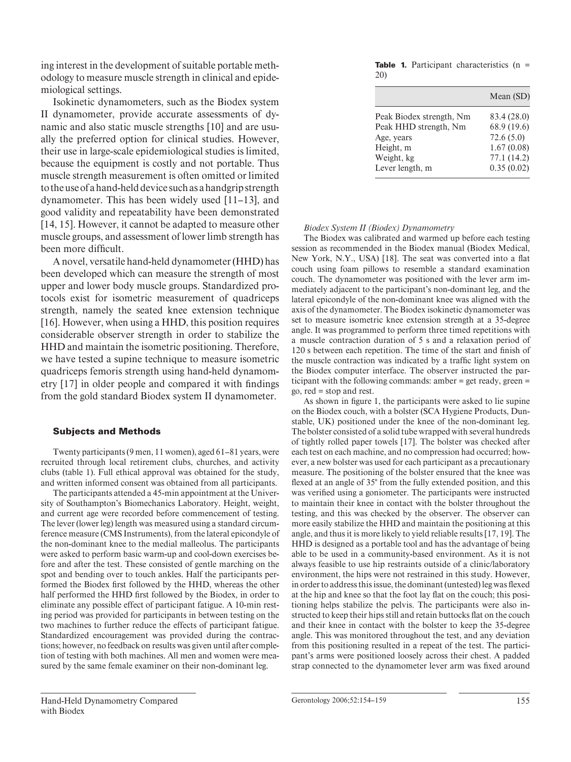ing interest in the development of suitable portable methodology to measure muscle strength in clinical and epidemiological settings.

Isokinetic dynamometers, such as the Biodex system II dynamometer, provide accurate assessments of dynamic and also static muscle strengths [10] and are usually the preferred option for clinical studies. However, their use in large-scale epidemiological studies is limited, because the equipment is costly and not portable. Thus muscle strength measurement is often omitted or limited to the use of a hand-held device such as a handgrip strength dynamometer. This has been widely used  $[11-13]$ , and good validity and repeatability have been demonstrated [14, 15]. However, it cannot be adapted to measure other muscle groups, and assessment of lower limb strength has been more difficult.

A novel, versatile hand-held dynamometer (HHD) has been developed which can measure the strength of most upper and lower body muscle groups. Standardized protocols exist for isometric measurement of quadriceps strength, namely the seated knee extension technique [16]. However, when using a HHD, this position requires considerable observer strength in order to stabilize the HHD and maintain the isometric positioning. Therefore, we have tested a supine technique to measure isometric quadriceps femoris strength using hand-held dynamometry [17] in older people and compared it with findings from the gold standard Biodex system II dynamometer.

# **Subjects and Methods**

Twenty participants (9 men, 11 women), aged 61–81 years, were recruited through local retirement clubs, churches, and activity clubs (table 1). Full ethical approval was obtained for the study, and written informed consent was obtained from all participants.

The participants attended a 45-min appointment at the University of Southampton's Biomechanics Laboratory. Height, weight, and current age were recorded before commencement of testing. The lever (lower leg) length was measured using a standard circumference measure (CMS Instruments), from the lateral epicondyle of the non-dominant knee to the medial malleolus. The participants were asked to perform basic warm-up and cool-down exercises before and after the test. These consisted of gentle marching on the spot and bending over to touch ankles. Half the participants performed the Biodex first followed by the HHD, whereas the other half performed the HHD first followed by the Biodex, in order to eliminate any possible effect of participant fatigue. A 10-min resting period was provided for participants in between testing on the two machines to further reduce the effects of participant fatigue. Standardized encouragement was provided during the contractions; however, no feedback on results was given until after completion of testing with both machines. All men and women were measured by the same female examiner on their non-dominant leg.

**Table 1.** Participant characteristics (n = 20)

|                                                   | Mean (SD)                  |
|---------------------------------------------------|----------------------------|
| Peak Biodex strength, Nm<br>Peak HHD strength, Nm | 83.4 (28.0)<br>68.9 (19.6) |
| Age, years<br>Height, m                           | 72.6(5.0)<br>1.67(0.08)    |
| Weight, kg                                        | 77.1 (14.2)                |
| Lever length, m                                   | 0.35(0.02)                 |

# *Biodex System II (Biodex) Dynamometry*

The Biodex was calibrated and warmed up before each testing session as recommended in the Biodex manual (Biodex Medical, New York, N.Y., USA) [18]. The seat was converted into a flat couch using foam pillows to resemble a standard examination couch. The dynamometer was positioned with the lever arm immediately adjacent to the participant's non-dominant leg, and the lateral epicondyle of the non-dominant knee was aligned with the axis of the dynamometer. The Biodex isokinetic dynamometer was set to measure isometric knee extension strength at a 35-degree angle. It was programmed to perform three timed repetitions with a muscle contraction duration of 5 s and a relaxation period of 120 s between each repetition. The time of the start and finish of the muscle contraction was indicated by a traffic light system on the Biodex computer interface. The observer instructed the participant with the following commands: amber = get ready, green = go, red = stop and rest.

As shown in figure 1, the participants were asked to lie supine on the Biodex couch, with a bolster (SCA Hygiene Products, Dunstable, UK) positioned under the knee of the non-dominant leg. The bolster consisted of a solid tube wrapped with several hundreds of tightly rolled paper towels [17]. The bolster was checked after each test on each machine, and no compression had occurred; however, a new bolster was used for each participant as a precautionary measure. The positioning of the bolster ensured that the knee was flexed at an angle of 35° from the fully extended position, and this was verified using a goniometer. The participants were instructed to maintain their knee in contact with the bolster throughout the testing, and this was checked by the observer. The observer can more easily stabilize the HHD and maintain the positioning at this angle, and thus it is more likely to yield reliable results [17, 19] . The HHD is designed as a portable tool and has the advantage of being able to be used in a community-based environment. As it is not always feasible to use hip restraints outside of a clinic/laboratory environment, the hips were not restrained in this study. However, in order to address this issue, the dominant (untested) leg was flexed at the hip and knee so that the foot lay flat on the couch; this positioning helps stabilize the pelvis. The participants were also instructed to keep their hips still and retain buttocks flat on the couch and their knee in contact with the bolster to keep the 35-degree angle. This was monitored throughout the test, and any deviation from this positioning resulted in a repeat of the test. The participant's arms were positioned loosely across their chest. A padded strap connected to the dynamometer lever arm was fixed around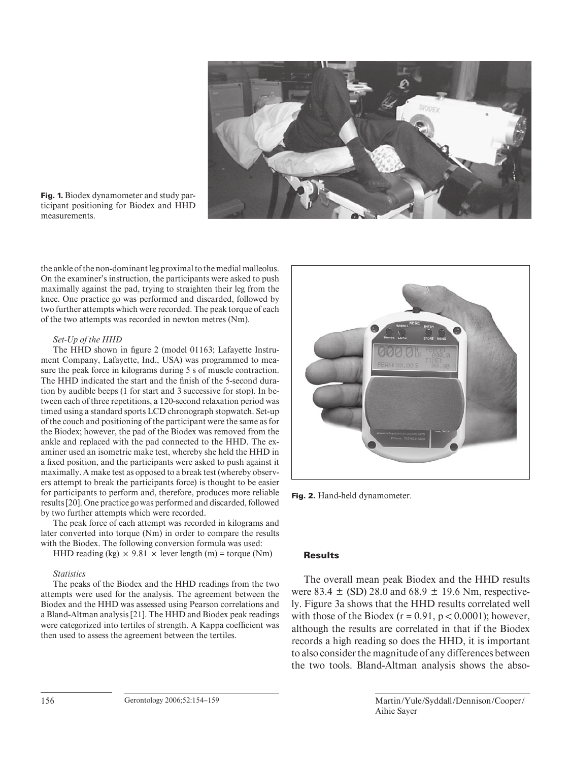

**Fig. 1.** Biodex dynamometer and study participant positioning for Biodex and HHD measurements.

the ankle of the non-dominant leg proximal to the medial malleolus. On the examiner's instruction, the participants were asked to push maximally against the pad, trying to straighten their leg from the knee. One practice go was performed and discarded, followed by two further attempts which were recorded. The peak torque of each of the two attempts was recorded in newton metres (Nm).

#### *Set-Up of the HHD*

The HHD shown in figure 2 (model 01163; Lafayette Instrument Company, Lafayette, Ind., USA) was programmed to measure the peak force in kilograms during 5 s of muscle contraction. The HHD indicated the start and the finish of the 5-second duration by audible beeps (1 for start and 3 successive for stop). In between each of three repetitions, a 120-second relaxation period was timed using a standard sports LCD chronograph stopwatch. Set-up of the couch and positioning of the participant were the same as for the Biodex; however, the pad of the Biodex was removed from the ankle and replaced with the pad connected to the HHD. The examiner used an isometric make test, whereby she held the HHD in a fixed position, and the participants were asked to push against it maximally. A make test as opposed to a break test (whereby observers attempt to break the participants force) is thought to be easier for participants to perform and, therefore, produces more reliable results [20] . One practice go was performed and discarded, followed by two further attempts which were recorded.

The peak force of each attempt was recorded in kilograms and later converted into torque (Nm) in order to compare the results with the Biodex. The following conversion formula was used:

HHD reading (kg)  $\times$  9.81  $\times$  lever length (m) = torque (Nm)

# *Statistics*

The peaks of the Biodex and the HHD readings from the two attempts were used for the analysis. The agreement between the Biodex and the HHD was assessed using Pearson correlations and a Bland-Altman analysis [21] . The HHD and Biodex peak readings were categorized into tertiles of strength. A Kappa coefficient was then used to assess the agreement between the tertiles.



Fig. 2. Hand-held dynamometer.

# **Results**

The overall mean peak Biodex and the HHD results were 83.4  $\pm$  (SD) 28.0 and 68.9  $\pm$  19.6 Nm, respectively. Figure 3a shows that the HHD results correlated well with those of the Biodex ( $r = 0.91$ ,  $p < 0.0001$ ); however, although the results are correlated in that if the Biodex records a high reading so does the HHD, it is important to also consider the magnitude of any differences between the two tools. Bland-Altman analysis shows the abso-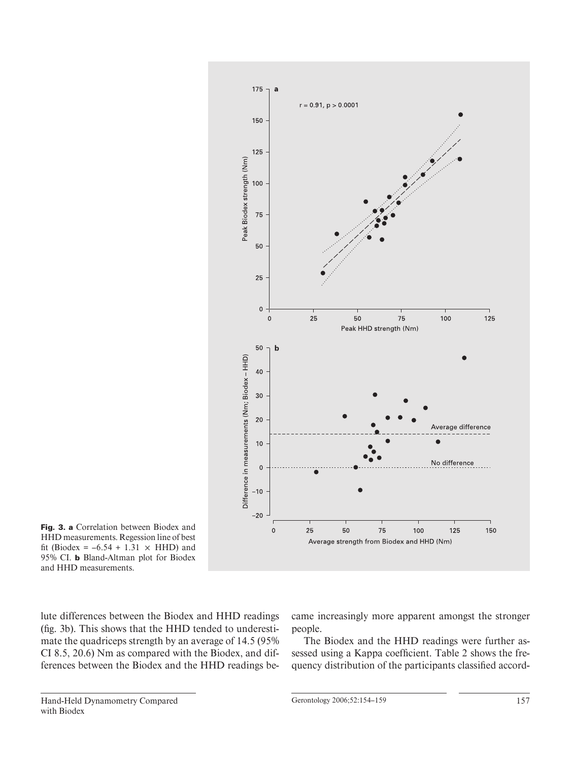

**Fig. 3. a** Correlation between Biodex and HHD measurements. Regession line of best fit (Biodex =  $-6.54 + 1.31 \times$  HHD) and 95% CI. **b** Bland-Altman plot for Biodex and HHD measurements.

lute differences between the Biodex and HHD readings  $($ fig. 3 $b)$ . This shows that the HHD tended to underestimate the quadriceps strength by an average of 14.5 (95% CI 8.5, 20.6) Nm as compared with the Biodex, and differences between the Biodex and the HHD readings became increasingly more apparent amongst the stronger people.

The Biodex and the HHD readings were further assessed using a Kappa coefficient. Table 2 shows the frequency distribution of the participants classified accord-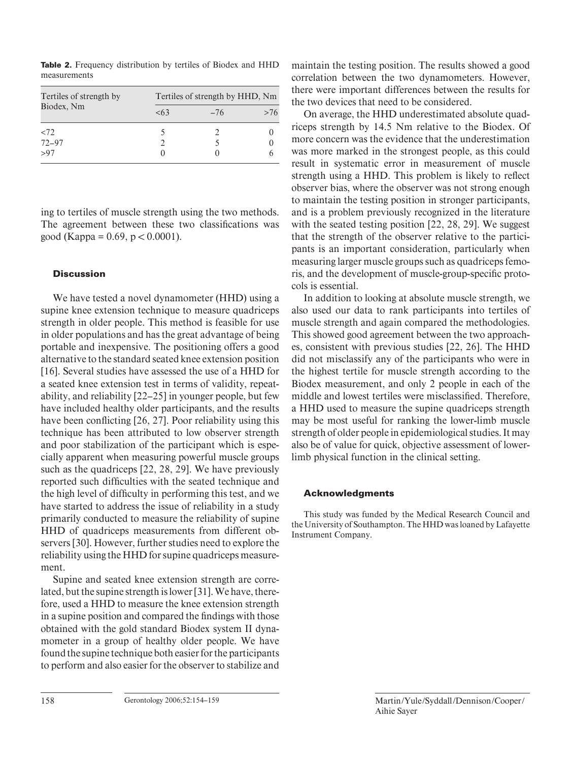| Tertiles of strength by<br>Biodex, Nm | Tertiles of strength by HHD, Nm |       |     |  |
|---------------------------------------|---------------------------------|-------|-----|--|
|                                       | <63                             | $-76$ | >76 |  |
| < 72                                  |                                 |       |     |  |
| $72 - 97$                             |                                 |       |     |  |
| >97                                   | $\left( \right)$                |       |     |  |

**Table 2.** Frequency distribution by tertiles of Biodex and HHD measurements

ing to tertiles of muscle strength using the two methods. The agreement between these two classifications was good (Kappa =  $0.69$ , p <  $0.0001$ ).

# **Discussion**

We have tested a novel dynamometer (HHD) using a supine knee extension technique to measure quadriceps strength in older people. This method is feasible for use in older populations and has the great advantage of being portable and inexpensive. The positioning offers a good alternative to the standard seated knee extension position [16]. Several studies have assessed the use of a HHD for a seated knee extension test in terms of validity, repeatability, and reliability  $[22-25]$  in younger people, but few have included healthy older participants, and the results have been conflicting  $[26, 27]$ . Poor reliability using this technique has been attributed to low observer strength and poor stabilization of the participant which is especially apparent when measuring powerful muscle groups such as the quadriceps [22, 28, 29]. We have previously reported such difficulties with the seated technique and the high level of difficulty in performing this test, and we have started to address the issue of reliability in a study primarily conducted to measure the reliability of supine HHD of quadriceps measurements from different observers [30]. However, further studies need to explore the reliability using the HHD for supine quadriceps measurement.

Supine and seated knee extension strength are correlated, but the supine strength is lower [31] . We have, therefore, used a HHD to measure the knee extension strength in a supine position and compared the findings with those obtained with the gold standard Biodex system II dynamometer in a group of healthy older people. We have found the supine technique both easier for the participants to perform and also easier for the observer to stabilize and

maintain the testing position. The results showed a good correlation between the two dynamometers. However, there were important differences between the results for the two devices that need to be considered.

On average, the HHD underestimated absolute quadriceps strength by 14.5 Nm relative to the Biodex. Of more concern was the evidence that the underestimation was more marked in the strongest people, as this could result in systematic error in measurement of muscle strength using a HHD. This problem is likely to reflect observer bias, where the observer was not strong enough to maintain the testing position in stronger participants, and is a problem previously recognized in the literature with the seated testing position  $[22, 28, 29]$ . We suggest that the strength of the observer relative to the participants is an important consideration, particularly when measuring larger muscle groups such as quadriceps femoris, and the development of muscle-group-specific protocols is essential.

In addition to looking at absolute muscle strength, we also used our data to rank participants into tertiles of muscle strength and again compared the methodologies. This showed good agreement between the two approaches, consistent with previous studies [22, 26]. The HHD did not misclassify any of the participants who were in the highest tertile for muscle strength according to the Biodex measurement, and only 2 people in each of the middle and lowest tertiles were misclassified. Therefore, a HHD used to measure the supine quadriceps strength may be most useful for ranking the lower-limb muscle strength of older people in epidemiological studies. It may also be of value for quick, objective assessment of lowerlimb physical function in the clinical setting.

# **Acknowledgments**

This study was funded by the Medical Research Council and the University of Southampton. The HHD was loaned by Lafayette Instrument Company.